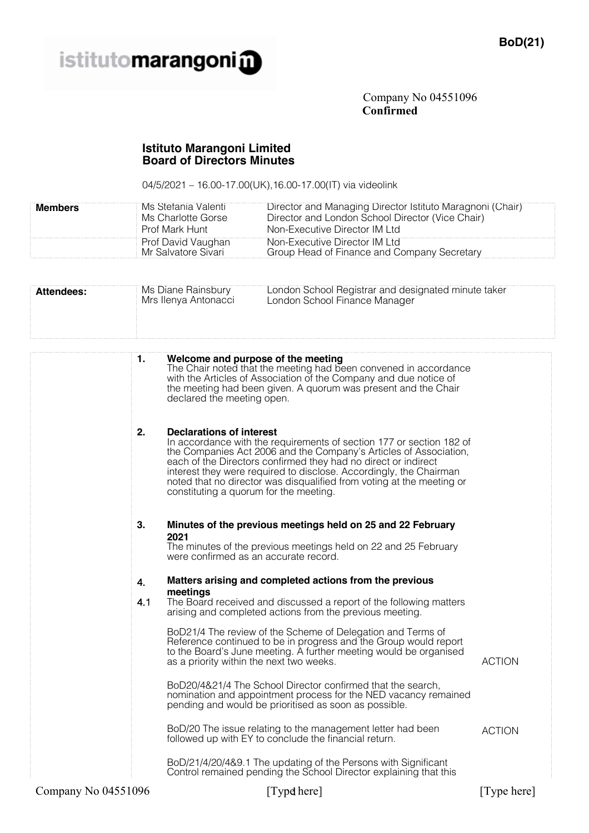

Company No 04551096 **Confirmed**

## **Istituto Marangoni Limited Board of Directors Minutes**

04/5/2021 – 16.00-17.00(UK),16.00-17.00(IT) via videolink

| <b>Members</b>    | Ms Stefania Valenti<br>Director and Managing Director Istituto Maragnoni (Chair)<br>Director and London School Director (Vice Chair)<br>Ms Charlotte Gorse<br>Prof Mark Hunt<br>Non-Executive Director IM Ltd<br>Prof David Vaughan<br>Non-Executive Director IM Ltd<br>Mr Salvatore Sivari<br>Group Head of Finance and Company Secretary                                                                                                    |  |  |
|-------------------|-----------------------------------------------------------------------------------------------------------------------------------------------------------------------------------------------------------------------------------------------------------------------------------------------------------------------------------------------------------------------------------------------------------------------------------------------|--|--|
| <b>Attendees:</b> | London School Registrar and designated minute taker<br>Ms Diane Rainsbury<br>Mrs Ilenya Antonacci<br>London School Finance Manager                                                                                                                                                                                                                                                                                                            |  |  |
|                   | Welcome and purpose of the meeting<br>1.<br>The Chair noted that the meeting had been convened in accordance<br>with the Articles of Association of the Company and due notice of<br>the meeting had been given. A quorum was present and the Chair<br>declared the meeting open.                                                                                                                                                             |  |  |
|                   | 2.<br><b>Declarations of interest</b><br>In accordance with the requirements of section 177 or section 182 of<br>the Companies Act 2006 and the Company's Articles of Association,<br>each of the Directors confirmed they had no direct or indirect<br>interest they were required to disclose. Accordingly, the Chairman<br>noted that no director was disqualified from voting at the meeting or<br>constituting a quorum for the meeting. |  |  |
|                   | 3.<br>Minutes of the previous meetings held on 25 and 22 February<br>2021<br>The minutes of the previous meetings held on 22 and 25 February<br>were confirmed as an accurate record.                                                                                                                                                                                                                                                         |  |  |
|                   | Matters arising and completed actions from the previous<br>4.<br>meetings<br>4.1<br>The Board received and discussed a report of the following matters<br>arising and completed actions from the previous meeting.<br>BoD21/4 The review of the Scheme of Delegation and Terms of<br>Reference continued to be in progress and the Group would report<br>to the Board's June meeting. A further meeting would be organised                    |  |  |
|                   | <b>ACTION</b><br>as a priority within the next two weeks.<br>BoD20/4&21/4 The School Director confirmed that the search,<br>nomination and appointment process for the NED vacancy remained<br>pending and would be prioritised as soon as possible.                                                                                                                                                                                          |  |  |
|                   | BoD/20 The issue relating to the management letter had been<br><b>ACTION</b><br>followed up with EY to conclude the financial return.<br>BoD/21/4/20/4&9.1 The updating of the Persons with Significant<br>Control remained pending the School Director explaining that this                                                                                                                                                                  |  |  |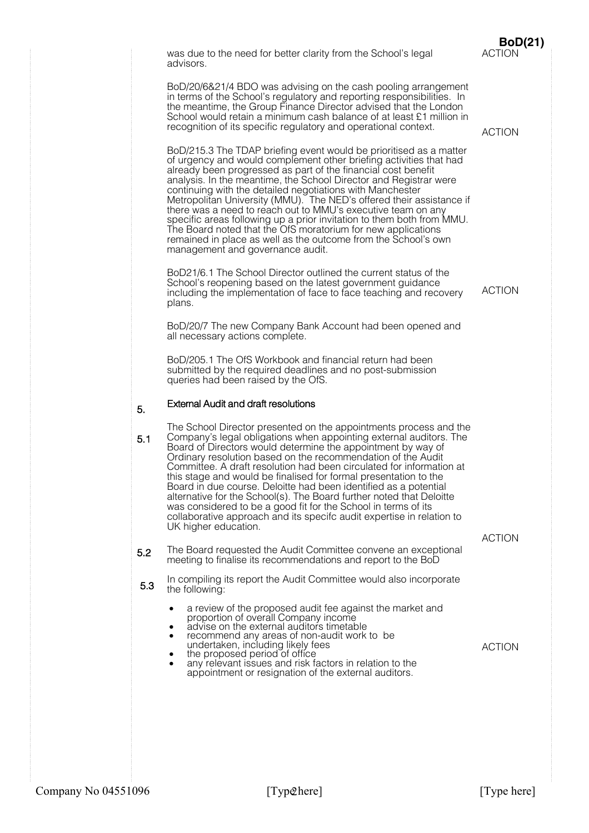|     | was due to the need for better clarity from the School's legal<br>advisors.                                                                                                                                                                                                                                                                                                                                                                                                                                                                                                                                                                                                                                                        | <b>BoD(21)</b><br><b>ACTION</b> |
|-----|------------------------------------------------------------------------------------------------------------------------------------------------------------------------------------------------------------------------------------------------------------------------------------------------------------------------------------------------------------------------------------------------------------------------------------------------------------------------------------------------------------------------------------------------------------------------------------------------------------------------------------------------------------------------------------------------------------------------------------|---------------------------------|
|     | BoD/20/6&21/4 BDO was advising on the cash pooling arrangement<br>in terms of the School's regulatory and reporting responsibilities. In<br>the meantime, the Group Finance Director advised that the London<br>School would retain a minimum cash balance of at least £1 million in<br>recognition of its specific regulatory and operational context.                                                                                                                                                                                                                                                                                                                                                                            | <b>ACTION</b>                   |
|     | BoD/215.3 The TDAP briefing event would be prioritised as a matter<br>of urgency and would complement other briefing activities that had<br>already been progressed as part of the financial cost benefit<br>analysis. In the meantime, the School Director and Registrar were<br>continuing with the detailed negotiations with Manchester<br>Metropolitan University (MMU). The NED's offered their assistance if<br>there was a need to reach out to MMU's executive team on any<br>specific areas following up a prior invitation to them both from MMU.<br>The Board noted that the OfS moratorium for new applications<br>remained in place as well as the outcome from the School's own<br>management and governance audit. |                                 |
|     | BoD21/6.1 The School Director outlined the current status of the<br>School's reopening based on the latest government guidance<br>including the implementation of face to face teaching and recovery<br>plans.                                                                                                                                                                                                                                                                                                                                                                                                                                                                                                                     | <b>ACTION</b>                   |
|     | BoD/20/7 The new Company Bank Account had been opened and<br>all necessary actions complete.                                                                                                                                                                                                                                                                                                                                                                                                                                                                                                                                                                                                                                       |                                 |
|     | BoD/205.1 The OfS Workbook and financial return had been<br>submitted by the required deadlines and no post-submission<br>queries had been raised by the OfS.                                                                                                                                                                                                                                                                                                                                                                                                                                                                                                                                                                      |                                 |
| 5.  | <b>External Audit and draft resolutions</b>                                                                                                                                                                                                                                                                                                                                                                                                                                                                                                                                                                                                                                                                                        |                                 |
| 5.1 | The School Director presented on the appointments process and the<br>Company's legal obligations when appointing external auditors. The<br>Board of Directors would determine the appointment by way of<br>Ordinary resolution based on the recommendation of the Audit<br>Committee. A draft resolution had been circulated for information at<br>this stage and would be finalised for formal presentation to the<br>Board in due course. Deloitte had been identified as a potential<br>alternative for the School(s). The Board further noted that Deloitte<br>was considered to be a good fit for the School in terms of its<br>collaborative approach and its specifc audit expertise in relation to<br>UK higher education. |                                 |
| 5.2 | The Board requested the Audit Committee convene an exceptional                                                                                                                                                                                                                                                                                                                                                                                                                                                                                                                                                                                                                                                                     | <b>ACTION</b>                   |
|     | meeting to finalise its recommendations and report to the BoD<br>In compiling its report the Audit Committee would also incorporate                                                                                                                                                                                                                                                                                                                                                                                                                                                                                                                                                                                                |                                 |
| 5.3 | the following:<br>a review of the proposed audit fee against the market and<br>٠<br>proportion of overall Company income<br>advise on the external auditors timetable<br>recommend any areas of non-audit work to be<br>٠<br>undertaken, including likely fees                                                                                                                                                                                                                                                                                                                                                                                                                                                                     | <b>ACTION</b>                   |
|     | the proposed period of office<br>٠<br>any relevant issues and risk factors in relation to the<br>appointment or resignation of the external auditors.                                                                                                                                                                                                                                                                                                                                                                                                                                                                                                                                                                              |                                 |